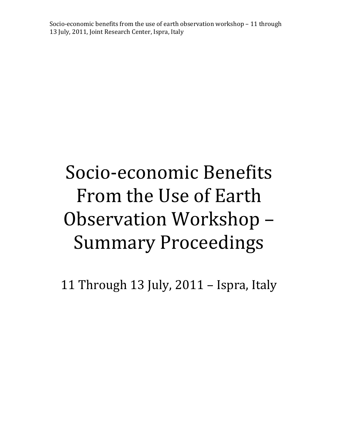# Socio-economic Benefits From the Use of Earth Observation Workshop – Summary Proceedings

11 Through 13 July,  $2011$  – Ispra, Italy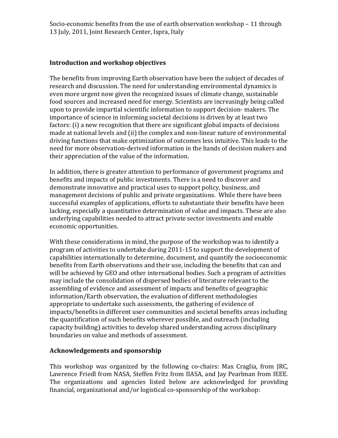## **Introduction and workshop objectives**

The benefits from improving Earth observation have been the subject of decades of research and discussion. The need for understanding environmental dynamics is even)more urgent now given the recognized issues of climate change, sustainable food sources and increased need for energy. Scientists are increasingly being called upon to provide impartial scientific information to support decision- makers. The importance of science in informing societal decisions is driven by at least two factors: (i) a new recognition that there are significant global impacts of decisions made at national levels and (ii) the complex and non-linear nature of environmental driving functions that make optimization of outcomes less intuitive. This leads to the need for more observation-derived information in the hands of decision makers and their appreciation of the value of the information.

In addition, there is greater attention to performance of government programs and benefits and impacts of public investments. There is a need to discover and demonstrate innovative and practical uses to support policy, business, and management decisions of public and private organizations. While there have been successful examples of applications, efforts to substantiate their benefits have been lacking, especially a quantitative determination of value and impacts. These are also underlying capabilities needed to attract private sector investments and enable economic opportunities.

With these considerations in mind, the purpose of the workshop was to identify a program of activities to undertake during 2011-15 to support the development of capabilities internationally to determine, document, and quantify the socioeconomic benefits from Earth observations and their use, including the benefits that can and will be achieved by GEO and other international bodies. Such a program of activities may include the consolidation of dispersed bodies of literature relevant to the assembling of evidence and assessment of impacts and benefits of geographic information/Earth observation, the evaluation of different methodologies appropriate to undertake such assessments, the gathering of evidence of impacts/benefits in different user communities and societal benefits areas including the quantification of such benefits wherever possible, and outreach (including) capacity building) activities to develop shared understanding across disciplinary boundaries on value and methods of assessment.

## Acknowledgements and sponsorship

This workshop was organized by the following co-chairs: Max Craglia, from JRC, Lawrence Friedl from NASA, Steffen Fritz from IIASA, and Jay Pearlman from IEEE. The organizations and agencies listed below are acknowledged for providing financial, organizational and/or logistical co-sponsorship of the workshop: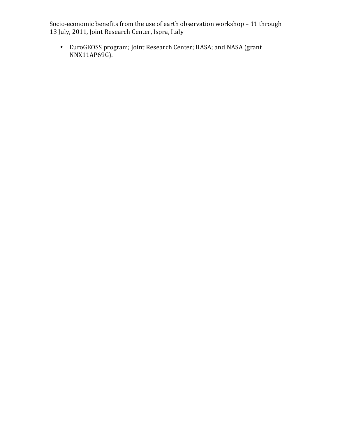• EuroGEOSS program; Joint Research Center; IIASA; and NASA (grant) NNX11AP69G).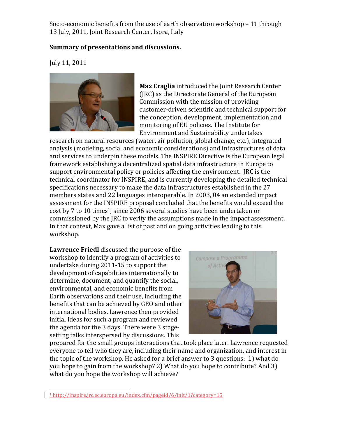# **Summary of presentations and discussions.**

July 11, 2011



**Max Craglia** introduced the Joint Research Center  $(IRC)$  as the Directorate General of the European Commission with the mission of providing customer-driven scientific and technical support for the conception, development, implementation and monitoring of EU policies. The Institute for Environment and Sustainability undertakes

research on natural resources (water, air pollution, global change, etc.), integrated analysis (modeling, social and economic considerations) and infrastructures of data and services to underpin these models. The INSPIRE Directive is the European legal framework establishing a decentralized spatial data infrastructure in Europe to support environmental policy or policies affecting the environment. JRC is the technical coordinator for INSPIRE, and is currently developing the detailed technical specifications necessary to make the data infrastructures established in the 27 members states and 22 languages interoperable. In 2003, 04 an extended impact assessment for the INSPIRE proposal concluded that the benefits would exceed the cost by 7 to 10 times<sup>1</sup>; since 2006 several studies have been undertaken or commissioned by the JRC to verify the assumptions made in the impact assessment. In that context, Max gave a list of past and on going activities leading to this workshop.

Lawrence Friedl discussed the purpose of the workshop to identify a program of activities to undertake during  $2011-15$  to support the development of capabilities internationally to determine, document, and quantify the social, environmental, and economic benefits from Earth observations and their use, including the benefits that can be achieved by GEO and other international bodies. Lawrence then provided initial ideas for such a program and reviewed the agenda for the 3 days. There were 3 stagesetting talks interspersed by discussions. This

)))))))))))))))))))))))))))))))))))))))))))))))))))))))



prepared for the small groups interactions that took place later. Lawrence requested everyone to tell who they are, including their name and organization, and interest in the topic of the workshop. He asked for a brief answer to 3 questions: 1) what do you hope to gain from the workshop? 2) What do you hope to contribute? And 3) what do you hope the workshop will achieve?

<sup>1</sup> http://inspire.jrc.ec.europa.eu/index.cfm/pageid/6/init/1?category=15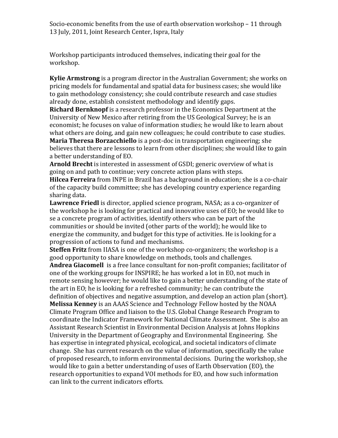Workshop participants introduced themselves, indicating their goal for the workshop.

**Kylie Armstrong** is a program director in the Australian Government; she works on pricing models for fundamental and spatial data for business cases; she would like to gain methodology consistency; she could contribute research and case studies already done, establish consistent methodology and identify gaps.

**Richard Bernknopf** is a research professor in the Economics Department at the University of New Mexico after retiring from the US Geological Survey; he is an economist; he focuses on value of information studies; he would like to learn about what others are doing, and gain new colleagues; he could contribute to case studies. **Maria Theresa Borzacchiello** is a post-doc in transportation engineering; she believes that there are lessons to learn from other disciplines; she would like to gain a better understanding of EO.

Arnold Brecht is interested in assessment of GSDI; generic overview of what is going on and path to continue; very concrete action plans with steps.

**Hilcea Ferreira** from INPE in Brazil has a background in education; she is a co-chair of the capacity build committee; she has developing country experience regarding sharing data.

**Lawrence Friedl** is director, applied science program, NASA; as a co-organizer of the workshop he is looking for practical and innovative uses of EO; he would like to se a concrete program of activities, identify others who can be part of the communities or should be invited (other parts of the world); he would like to energize the community, and budget for this type of activities. He is looking for a progression of actions to fund and mechanisms.

**Steffen Fritz** from IIASA is one of the workshop co-organizers; the workshop is a good opportunity to share knowledge on methods, tools and challenges.

Andrea Giacomell is a free lance consultant for non-profit companies; facilitator of one of the working groups for INSPIRE; he has worked a lot in EO, not much in remote sensing however; he would like to gain a better understanding of the state of the art in EO; he is looking for a refreshed community; he can contribute the definition of objectives and negative assumption, and develop an action plan (short). **Melissa Kenney** is an AAAS Science and Technology Fellow hosted by the NOAA Climate Program Office and liaison to the U.S. Global Change Research Program to coordinate the Indicator Framework for National Climate Assessment. She is also an Assistant Research Scientist in Environmental Decision Analysis at Johns Hopkins University in the Department of Geography and Environmental Engineering. She has expertise in integrated physical, ecological, and societal indicators of climate change. She has current research on the value of information, specifically the value of proposed research, to inform environmental decisions. During the workshop, she would like to gain a better understanding of uses of Earth Observation (EO), the research opportunities to expand VOI methods for EO, and how such information can link to the current indicators efforts.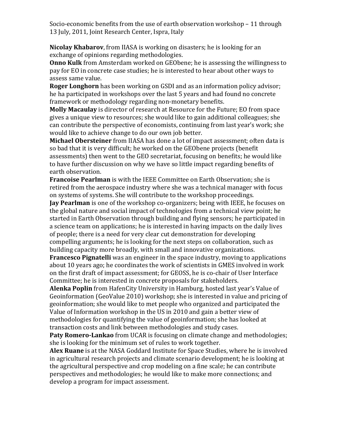**Nicolay Khabarov**, from IIASA is working on disasters; he is looking for an exchange of opinions regarding methodologies.

**Onno Kulk** from Amsterdam worked on GEObene; he is assessing the willingness to pay for EO in concrete case studies; he is interested to hear about other ways to assess same value.

**Roger Longhorn** has been working on GSDI and as an information policy advisor; he ha participated in workshops over the last 5 years and had found no concrete framework or methodology regarding non-monetary benefits.

**Molly Macaulay** is director of research at Resource for the Future; EO from space gives a unique view to resources; she would like to gain additional colleagues; she can contribute the perspective of economists, continuing from last year's work; she would like to achieve change to do our own job better.

**Michael Obersteiner** from IIASA has done a lot of impact assessment; often data is so bad that it is very difficult; he worked on the GEObene projects (benefit) assessments) then went to the GEO secretariat, focusing on benefits; he would like to have further discussion on why we have so little impact regarding benefits of earth observation.

**Francoise Pearlman** is with the IEEE Committee on Earth Observation; she is retired from the aerospace industry where she was a technical manager with focus on systems of systems. She will contribute to the workshop proceedings.

**Jay Pearlman** is one of the workshop co-organizers; being with IEEE, he focuses on the global nature and social impact of technologies from a technical view point; he started in Earth Observation through building and flying sensors; he participated in a science team on applications; he is interested in having impacts on the daily lives of people; there is a need for very clear cut demonstration for developing compelling arguments; he is looking for the next steps on collaboration, such as building capacity more broadly, with small and innovative organizations.

**Francesco Pignatelli** was an engineer in the space industry, moving to applications about 10 years ago; he coordinates the work of scientists in GMES involved in work on the first draft of impact assessment; for GEOSS, he is co-chair of User Interface Committee; he is interested in concrete proposals for stakeholders.

Alenka Poplin from HafenCity University in Hamburg, hosted last year's Value of Geoinformation (GeoValue 2010) workshop; she is interested in value and pricing of geoinformation; she would like to met people who organized and participated the Value of Information workshop in the US in 2010 and gain a better view of methodologies for quantifying the value of geoinformation; she has looked at transaction costs and link between methodologies and study cases.

**Paty Romero-Lankao** from UCAR is focusing on climate change and methodologies; she is looking for the minimum set of rules to work together.

Alex Ruane is at the NASA Goddard Institute for Space Studies, where he is involved in agricultural research projects and climate scenario development; he is looking at the agricultural perspective and crop modeling on a fine scale; he can contribute perspectives and methodologies; he would like to make more connections; and develop a program for impact assessment.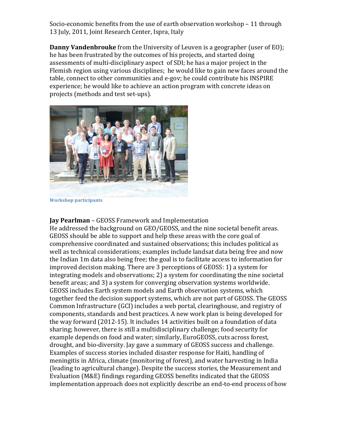**Danny Vandenbrouke** from the University of Leuven is a geographer (user of EO); he has been frustrated by the outcomes of his projects, and started doing assessments of multi-disciplinary aspect of SDI; he has a major project in the Flemish region using various disciplines; he would like to gain new faces around the table, connect to other communities and e-gov; he could contribute his INSPIRE experience; he would like to achieve an action program with concrete ideas on projects (methods and test set-ups).



**Workshop\*participants**

## **Jay Pearlman** – GEOSS Framework and Implementation

He addressed the background on GEO/GEOSS, and the nine societal benefit areas. GEOSS should be able to support and help these areas with the core goal of comprehensive coordinated and sustained observations; this includes political as well as technical considerations; examples include landsat data being free and now the Indian 1m data also being free; the goal is to facilitate access to information for improved decision making. There are 3 perceptions of GEOSS: 1) a system for integrating models and observations; 2) a system for coordinating the nine societal benefit areas; and 3) a system for converging observation systems worldwide. GEOSS includes Earth system models and Earth observation systems, which together feed the decision support systems, which are not part of GEOSS. The GEOSS Common Infrastructure (GCI) includes a web portal, clearinghouse, and registry of components, standards and best practices. A new work plan is being developed for the way forward (2012-15). It includes 14 activities built on a foundation of data sharing; however, there is still a multidisciplinary challenge; food security for example depends on food and water; similarly, EuroGEOSS, cuts across forest, drought, and bio-diversity. Jay gave a summary of GEOSS success and challenge. Examples of success stories included disaster response for Haiti, handling of meningitis in Africa, climate (monitoring of forest), and water harvesting in India (leading to agricultural change). Despite the success stories, the Measurement and Evaluation (M&E) findings regarding GEOSS benefits indicated that the GEOSS implementation approach does not explicitly describe an end-to-end process of how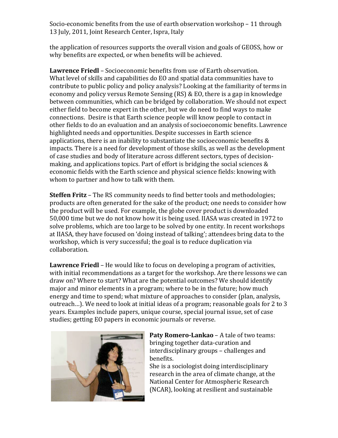the application of resources supports the overall vision and goals of GEOSS, how or why benefits are expected, or when benefits will be achieved.

**Lawrence Friedl** – Socioeconomic benefits from use of Earth observation. What level of skills and capabilities do EO and spatial data communities have to contribute to public policy and policy analysis? Looking at the familiarity of terms in economy and policy versus Remote Sensing (RS) & EO, there is a gap in knowledge between communities, which can be bridged by collaboration. We should not expect either field to become expert in the other, but we do need to find wavs to make connections. Desire is that Earth science people will know people to contact in other fields to do an evaluation and an analysis of socioeconomic benefits. Lawrence highlighted needs and opportunities. Despite successes in Earth science applications, there is an inability to substantiate the socioeconomic benefits  $\&$ impacts. There is a need for development of those skills, as well as the development of case studies and body of literature across different sectors, types of decisionmaking, and applications topics. Part of effort is bridging the social sciences  $\&$ economic fields with the Earth science and physical science fields: knowing with whom to partner and how to talk with them.

**Steffen Fritz** – The RS community needs to find better tools and methodologies; products are often generated for the sake of the product; one needs to consider how the product will be used. For example, the globe cover product is downloaded 50,000 time but we do not know how it is being used. IIASA was created in 1972 to solve problems, which are too large to be solved by one entity. In recent workshops at IIASA, they have focused on 'doing instead of talking'; attendees bring data to the workshop, which is very successful; the goal is to reduce duplication via collaboration.

**Lawrence Friedl** – He would like to focus on developing a program of activities, with initial recommendations as a target for the workshop. Are there lessons we can draw on? Where to start? What are the potential outcomes? We should identify major and minor elements in a program; where to be in the future; how much energy and time to spend; what mixture of approaches to consider (plan, analysis, outreach...). We need to look at initial ideas of a program; reasonable goals for 2 to 3 years. Examples include papers, unique course, special journal issue, set of case studies; getting EO papers in economic journals or reverse.



**Paty Romero-Lankao** – A tale of two teams: bringing together data-curation and interdisciplinary groups – challenges and benefits.

She is a sociologist doing interdisciplinary research in the area of climate change, at the National Center for Atmospheric Research (NCAR), looking at resilient and sustainable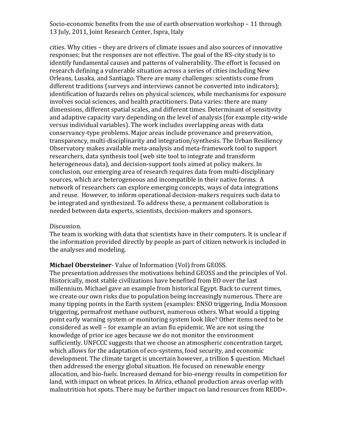cities. Why cities – they are drivers of climate issues and also sources of innovative responses; but the responses are not effective. The goal of the RS-city study is to identify fundamental causes and patterns of vulnerability. The effort is focused on research defining a vulnerable situation across a series of cities including New Orleans, Lusaka, and Santiago. There are many challenges: scientists come from different traditions (surveys and interviews cannot be converted into indicators); identification of hazards relies on physical sciences, while mechanisms for exposure involves social sciences, and health practitioners. Data varies: there are many dimensions, different spatial scales, and different times. Determinant of sensitivity and adaptive capacity vary depending on the level of analysis (for example city-wide) versus individual variables). The work includes overlapping areas with data conservancy-type problems. Major areas include provenance and preservation, transparency, multi-disciplinarity and integration/synthesis. The Urban Resiliency Observatory makes available meta-analysis and meta-framework tool to support researchers, data synthesis tool (web site tool to integrate and transform heterogeneous data), and decision-support tools aimed at policy makers. In conclusion, our emerging area of research requires data from multi-disciplinary sources, which are heterogeneous and incompatible in their native forms. A network of researchers can explore emerging concepts, ways of data integrations and reuse.)However, to inform operational decision-makers requires such data to be integrated and synthesized. To address these, a permanent collaboration is needed between data experts, scientists, decision-makers and sponsors.

#### Discussion.

The team is working with data that scientists have in their computers. It is unclear if the information provided directly by people as part of citizen network is included in the analyses and modeling.

#### **Michael Obersteiner-** Value of Information (VoI) from GEOSS.

The presentation addresses the motivations behind GEOSS and the principles of VoI. Historically, most stable civilizations have benefited from EO over the last millennium. Michael gave an example from historical Egypt. Back to current times, we create our own risks due to population being increasingly numerous. There are many tipping points in the Earth system (examples: ENSO triggering, India Monsoon) triggering, permafrost methane outburst, numerous others. What would a tipping point early warning system or monitoring system look like? Other items need to be considered as well – for example an avian flu epidemic. We are not using the knowledge of prior ice ages because we do not monitor the environment sufficiently. UNFCCC suggests that we choose an atmospheric concentration target, which allows for the adaptation of eco-systems, food security, and economic development. The climate target is uncertain however, a trillion \$ question. Michael then addressed the energy global situation. He focused on renewable energy allocation, and bio-fuels. Increased demand for bio-energy results in competition for land, with impact on wheat prices. In Africa, ethanol production areas overlap with malnutrition hot spots. There may be further impact on land resources from REDD+.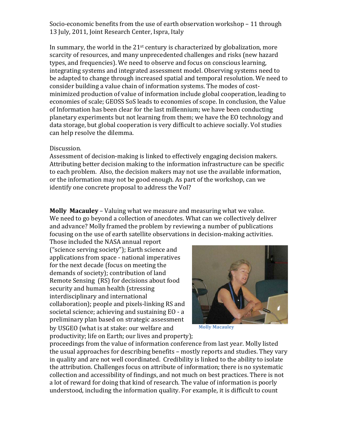In summary, the world in the  $21<sup>st</sup>$  century is characterized by globalization, more scarcity of resources, and many unprecedented challenges and risks (new hazard) types, and frequencies). We need to observe and focus on conscious learning, integrating systems and integrated assessment model. Observing systems need to be adapted to change through increased spatial and temporal resolution. We need to consider building a value chain of information systems. The modes of costminimized production of value of information include global cooperation, leading to economies of scale; GEOSS SoS leads to economies of scope. In conclusion, the Value of Information has been clear for the last millennium; we have been conducting planetary experiments but not learning from them; we have the EO technology and data storage, but global cooperation is very difficult to achieve socially. VoI studies can help resolve the dilemma.

#### Discussion.

Assessment of decision-making is linked to effectively engaging decision makers. Attributing better decision making to the information infrastructure can be specific to each problem. Also, the decision makers may not use the available information, or the information may not be good enough. As part of the workshop, can we identify one concrete proposal to address the VoI?

**Molly Macauley** – Valuing what we measure and measuring what we value. We need to go beyond a collection of anecdotes. What can we collectively deliver and advance? Molly framed the problem by reviewing a number of publications focusing on the use of earth satellite observations in decision-making activities.

Those included the NASA annual report ("science serving society"); Earth science and applications from space - national imperatives for the next decade (focus on meeting the demands of society); contribution of land Remote Sensing (RS) for decisions about food security and human health (stressing) interdisciplinary and international collaboration); people and pixels-linking RS and societal science; achieving and sustaining EO - a preliminary plan based on strategic assessment by USGEO (what is at stake: our welfare and productivity; life on Earth; our lives and property);



**Molly Macauley** 

proceedings from the value of information conference from last year. Molly listed the usual approaches for describing benefits – mostly reports and studies. They vary in quality and are not well coordinated. Credibility is linked to the ability to isolate the attribution. Challenges focus on attribute of information; there is no systematic collection and accessibility of findings, and not much on best practices. There is not a lot of reward for doing that kind of research. The value of information is poorly understood, including the information quality. For example, it is difficult to count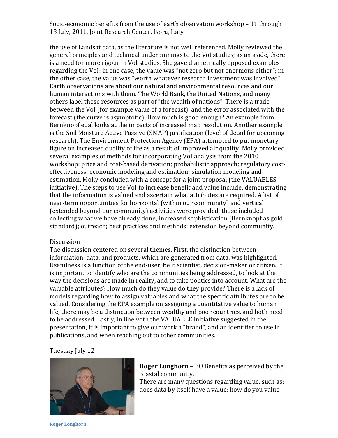the use of Landsat data, as the literature is not well referenced. Molly reviewed the general principles and technical underpinnings to the VoI studies; as an aside, there is a need for more rigour in VoI studies. She gave diametrically opposed examples regarding the VoI: in one case, the value was "not zero but not enormous either"; in the other case, the value was "worth whatever research investment was involved". Earth observations are about our natural and environmental resources and our human interactions with them. The World Bank, the United Nations, and many others label these resources as part of "the wealth of nations". There is a trade between the VoI (for example value of a forecast), and the error associated with the forecast (the curve is asymptotic). How much is good enough? An example from Bernknopf et al looks at the impacts of increased map resolution. Another example is the Soil Moisture Active Passive (SMAP) justification (level of detail for upcoming research). The Environment Protection Agency (EPA) attempted to put monetary figure on increased quality of life as a result of improved air quality. Molly provided several examples of methods for incorporating VoI analysis from the 2010 workshop: price and cost-based derivation; probabilistic approach; regulatory costeffectiveness; economic modeling and estimation; simulation modeling and estimation. Molly concluded with a concept for a joint proposal (the VALUABLES) initiative). The steps to use VoI to increase benefit and value include: demonstrating that the information is valued and ascertain what attributes are required. A list of near-term opportunities for horizontal (within our community) and vertical (extended beyond our community) activities were provided; those included collecting what we have already done; increased sophistication (Bernknopf as gold) standard); outreach; best practices and methods; extension beyond community.

#### **Discussion**

The discussion centered on several themes. First, the distinction between information, data, and products, which are generated from data, was highlighted. Usefulness is a function of the end-user, be it scientist, decision-maker or citizen. It is important to identify who are the communities being addressed, to look at the way the decisions are made in reality, and to take politics into account. What are the valuable attributes? How much do they value do they provide? There is a lack of models regarding how to assign valuables and what the specific attributes are to be valued. Considering the EPA example on assigning a quantitative value to human life, there may be a distinction between wealthy and poor countries, and both need to be addressed. Lastly, in line with the VALUABLE initiative suggested in the presentation, it is important to give our work a "brand", and an identifier to use in publications, and when reaching out to other communities.

## Tuesday July 12



**Roger Longhorn** – EO Benefits as perceived by the coastal community.

There are many questions regarding value, such as: does data by itself have a value; how do you value

**Roger Longhorn**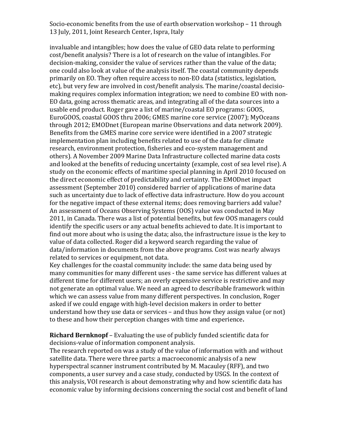invaluable and intangibles; how does the value of GEO data relate to performing cost/benefit analysis? There is a lot of research on the value of intangibles. For decision-making, consider the value of services rather than the value of the data; one could also look at value of the analysis itself. The coastal community depends primarily on EO. They often require access to non-EO data (statistics, legislation, etc), but very few are involved in cost/benefit analysis. The marine/coastal decisiomaking requires complex information integration; we need to combine EO with non-EO data, going across thematic areas, and integrating all of the data sources into a usable end product. Roger gave a list of marine/coastal EO programs: GOOS, EuroGOOS, coastal GOOS thru 2006; GMES marine core service (2007); MyOceans through 2012; EMODnet (European marine Observations and data network 2009). Benefits from the GMES marine core service were identified in a 2007 strategic implementation plan including benefits related to use of the data for climate research, environment protection, fisheries and eco-system management and others). A November 2009 Marine Data Infrastructure collected marine data costs and looked at the benefits of reducing uncertainty (example, cost of sea level rise). A study on the economic effects of maritime special planning in April 2010 focused on the direct economic effect of predictability and certainty. The EMODnet impact assessment (September 2010) considered barrier of applications of marine data such as uncertainty due to lack of effective data infrastructure. How do you account for the negative impact of these external items; does removing barriers add value? An assessment of Oceans Observing Systems (OOS) value was conducted in May 2011, in Canada. There was a list of potential benefits, but few OOS managers could identify the specific users or any actual benefits achieved to date. It is important to find out more about who is using the data; also, the infrastructure issue is the key to value of data collected. Roger did a keyword search regarding the value of data/information in documents from the above programs. Cost was nearly always related to services or equipment, not data.

Key challenges for the coastal community include: the same data being used by many communities for many different uses - the same service has different values at different time for different users; an overly expensive service is restrictive and may not generate an optimal value. We need an agreed to describable framework within which we can assess value from many different perspectives. In conclusion, Roger asked if we could engage with high-level decision makers in order to better understand how they use data or services – and thus how they assign value (or not) to these and how their perception changes with time and experience.

**Richard Bernknopf** – Evaluating the use of publicly funded scientific data for decisions-value of information component analysis.

The research reported on was a study of the value of information with and without satellite data. There were three parts: a macroeconomic analysis of a new hyperspectral scanner instrument contributed by M. Macauley (RFF), and two components, a user survey and a case study, conducted by USGS. In the context of this analysis, VOI research is about demonstrating why and how scientific data has economic value by informing decisions concerning the social cost and benefit of land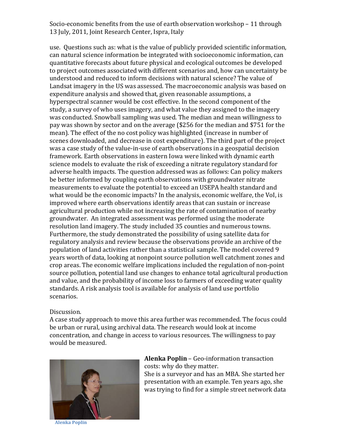use.)Questions such as: what is the value of publicly provided scientific information, can natural science information be integrated with socioeconomic information, can quantitative forecasts about future physical and ecological outcomes be developed to)project outcomes associated with different scenarios and, how can uncertainty be understood and reduced to inform decisions with natural science? The value of Landsat imagery in the US was assessed. The macroeconomic analysis was based on expenditure analysis and showed that, given reasonable assumptions, a hyperspectral scanner would be cost effective. In the second component of the study, a survey of who uses imagery, and what value they assigned to the imagery was conducted. Snowball sampling was used. The median and mean willingness to pay was shown by sector and on the average (\$256 for the median and \$751 for the mean). The effect of the no cost policy was highlighted (increase in number of scenes downloaded, and decrease in cost expenditure). The third part of the project was a case study of the value-in-use of earth observations in a geospatial decision framework. Earth observations in eastern Iowa were linked with dynamic earth science models to evaluate the risk of exceeding a nitrate regulatory standard for adverse health impacts. The question addressed was as follows: Can policy makers be better informed by coupling earth observations with groundwater nitrate measurements to evaluate the potential to exceed an USEPA health standard and what would be the economic impacts? In the analysis, economic welfare, the VoI, is improved where earth observations identify areas that can sustain or increase agricultural production while not increasing the rate of contamination of nearby groundwater. An integrated assessment was performed using the moderate resolution land imagery. The study included 35 counties and numerous towns. Furthermore, the study demonstrated the possibility of using satellite data for regulatory analysis and review because the observations provide an archive of the population of land activities rather than a statistical sample. The model covered 9 years worth of data, looking at nonpoint source pollution well catchment zones and crop areas. The economic welfare implications included the regulation of non-point source pollution, potential land use changes to enhance total agricultural production and value, and the probability of income loss to farmers of exceeding water quality standards. A risk analysis tool is available for analysis of land use portfolio scenarios.

Discussion.

A case study approach to move this area further was recommended. The focus could be urban or rural, using archival data. The research would look at income concentration, and change in access to various resources. The willingness to pay would be measured.



**Alenka Poplin** – Geo-information transaction costs: why do they matter.

She is a surveyor and has an MBA. She started her presentation with an example. Ten years ago, she was trying to find for a simple street network data

**Alenka\*Poplin**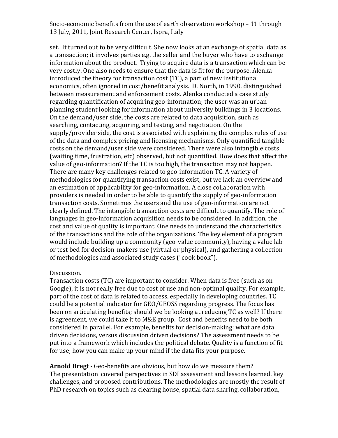set.) It turned out to be very difficult. She now looks at an exchange of spatial data as a transaction; it involves parties e.g. the seller and the buyer who have to exchange information about the product. Trying to acquire data is a transaction which can be very costly. One also needs to ensure that the data is fit for the purpose. Alenka introduced the theory for transaction cost (TC), a part of new institutional economics, often ignored in cost/benefit analysis. D. North, in 1990, distinguished between measurement and enforcement costs. Alenka conducted a case study regarding quantification of acquiring geo-information; the user was an urban planning student looking for information about university buildings in 3 locations. On the demand/user side, the costs are related to data acquisition, such as searching, contacting, acquiring, and testing, and negotiation. On the supply/provider side, the cost is associated with explaining the complex rules of use of the data and complex pricing and licensing mechanisms. Only quantified tangible costs on the demand/user side were considered. There were also intangible costs (waiting time, frustration, etc) observed, but not quantified. How does that affect the value of geo-information? If the TC is too high, the transaction may not happen. There are many key challenges related to geo-information TC. A variety of methodologies for quantifying transaction costs exist, but we lack an overview and an estimation of applicability for geo-information. A close collaboration with providers is needed in order to be able to quantify the supply of geo-information transaction costs. Sometimes the users and the use of geo-information are not clearly defined. The intangible transaction costs are difficult to quantify. The role of languages in geo-information acquisition needs to be considered. In addition, the cost and value of quality is important. One needs to understand the characteristics of the transactions and the role of the organizations. The key element of a program would include building up a community (geo-value community), having a value lab or test bed for decision-makers use (virtual or physical), and gathering a collection of methodologies and associated study cases ("cook book").

#### Discussion.

Transaction costs (TC) are important to consider. When data is free (such as on Google), it is not really free due to cost of use and non-optimal quality. For example, part of the cost of data is related to access, especially in developing countries. TC could be a potential indicator for GEO/GEOSS regarding progress. The focus has been on articulating benefits; should we be looking at reducing TC as well? If there is agreement, we could take it to M&E group. Cost and benefits need to be both considered in parallel. For example, benefits for decision-making: what are data driven decisions, versus discussion driven decisions? The assessment needs to be put into a framework which includes the political debate. Quality is a function of fit for use; how you can make up your mind if the data fits your purpose.

Arnold Bregt - Geo-benefits are obvious, but how do we measure them? The presentation covered perspectives in SDI assessment and lessons learned, key challenges, and proposed contributions. The methodologies are mostly the result of PhD research on topics such as clearing house, spatial data sharing, collaboration,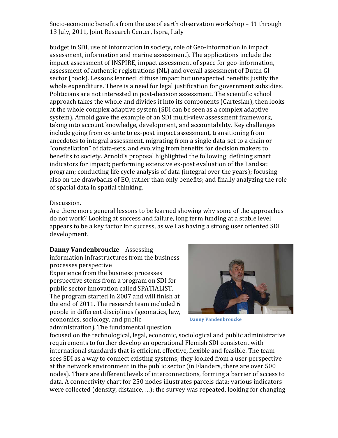budget in SDI, use of information in society, role of Geo-information in impact assessment, information and marine assessment). The applications include the impact assessment of INSPIRE, impact assessment of space for geo-information, assessment of authentic registrations (NL) and overall assessment of Dutch GI sector (book). Lessons learned: diffuse impact but unexpected benefits justify the whole expenditure. There is a need for legal justification for government subsidies. Politicians are not interested in post-decision assessment. The scientific school approach takes the whole and divides it into its components (Cartesian), then looks at the whole complex adaptive system (SDI can be seen as a complex adaptive) system). Arnold gave the example of an SDI multi-view assessment framework, taking into account knowledge, development, and accountability. Key challenges include going from ex-ante to ex-post impact assessment, transitioning from anecdotes to integral assessment, migrating from a single data-set to a chain or "constellation" of data-sets, and evolving from benefits for decision makers to benefits to society. Arnold's proposal highlighted the following: defining smart indicators for impact; performing extensive ex-post evaluation of the Landsat program; conducting life cycle analysis of data (integral over the years); focusing also on the drawbacks of EO, rather than only benefits; and finally analyzing the role of spatial data in spatial thinking.

#### Discussion.

Are there more general lessons to be learned showing why some of the approaches do not work? Looking at success and failure, long term funding at a stable level appears to be a key factor for success, as well as having a strong user oriented SDI development.

#### **Danny Vandenbroucke** – Assessing

information infrastructures from the business processes perspective

Experience from the business processes perspective stems from a program on SDI for public sector innovation called SPATIALIST. The program started in 2007 and will finish at the end of 2011. The research team included 6 people in different disciplines (geomatics, law, economics, sociology, and public administration). The fundamental question



**Danny Vandenbroucke** 

focused on the technological, legal, economic, sociological and public administrative requirements to further develop an operational Flemish SDI consistent with international standards that is efficient, effective, flexible and feasible. The team sees SDI as a way to connect existing systems; they looked from a user perspective at the network environment in the public sector (in Flanders, there are over 500) nodes). There are different levels of interconnections, forming a barrier of access to data. A connectivity chart for 250 nodes illustrates parcels data; various indicators were collected (density, distance, ...); the survey was repeated, looking for changing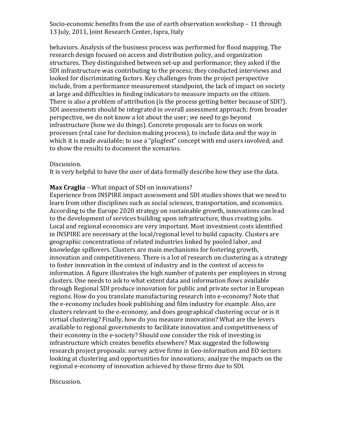behaviors. Analysis of the business process was performed for flood mapping. The research design focused on access and distribution policy, and organization structures. They distinguished between set-up and performance; they asked if the SDI infrastructure was contributing to the process; they conducted interviews and looked for discriminating factors. Key challenges from the project perspective include, from a performance measurement standpoint, the lack of impact on society at large and difficulties in finding indicators to measure impacts on the citizen. There is also a problem of attribution (is the process getting better because of SDI?). SDI assessments should be integrated in overall assessment approach; from broader perspective, we do not know a lot about the user; we need to go beyond infrastructure (how we do things). Concrete proposals are to focus on work processes (real case for decision making process), to include data and the way in which it is made available; to use a "plugfest" concept with end users involved; and to show the results to document the scenarios.

#### Discussion.

It is very helpful to have the user of data formally describe how they use the data.

#### **Max Craglia** – What impact of SDI on innovations?

Experience from INSPIRE impact assessment and SDI studies shows that we need to learn from other disciplines such as social sciences, transportation, and economics. According to the Europe 2020 strategy on sustainable growth, innovations can lead to the development of services building upon infrastructure, thus creating jobs. Local and regional economics are very important. Most investment costs identified in INSPIRE are necessary at the local/regional level to build capacity. Clusters are geographic concentrations of related industries linked by pooled labor, and knowledge spillovers. Clusters are main mechanisms for fostering growth, innovation and competitiveness. There is a lot of research on clustering as a strategy to foster innovation in the context of industry and in the context of access to information. A figure illustrates the high number of patents per employees in strong clusters. One needs to ask to what extent data and information flows available through Regional SDI produce innovation for public and private sector in European regions. How do you translate manufacturing research into e-economy? Note that the e-economy includes book publishing and film industry for example. Also, are clusters relevant to the e-economy, and does geographical clustering occur or is it virtual clustering? Finally, how do you measure innovation? What are the levers available to regional governments to facilitate innovation and competitiveness of their economy in the e-society? Should one consider the risk of investing in infrastructure which creates benefits elsewhere? Max suggested the following research project proposals: survey active firms in Geo-information and EO sectors looking at clustering and opportunities for innovations; analyze the impacts on the regional e-economy of innovation achieved by those firms due to SDI.

#### Discussion.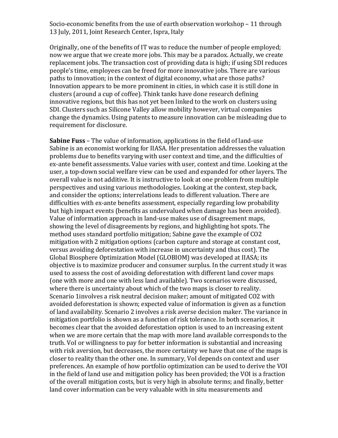Originally, one of the benefits of IT was to reduce the number of people employed; now) we argue that we create more jobs. This may be a paradox. Actually, we create replacement jobs. The transaction cost of providing data is high; if using SDI reduces people's time, employees can be freed for more innovative jobs. There are various paths to innovation; in the context of digital economy, what are those paths? Innovation appears to be more prominent in cities, in which case it is still done in clusters (around a cup of coffee). Think tanks have done research defining innovative regions, but this has not yet been linked to the work on clusters using SDI. Clusters such as Silicone Valley allow mobility however, virtual companies change the dynamics. Using patents to measure innovation can be misleading due to requirement for disclosure.

**Sabine Fuss** – The value of information, applications in the field of land-use Sabine is an economist working for IIASA. Her presentation addresses the valuation problems due to benefits varying with user context and time, and the difficulties of ex-ante benefit assessments. Value varies with user, context and time. Looking at the user, a top-down social welfare view can be used and expanded for other layers. The overall value is not additive. It is instructive to look at one problem from multiple perspectives and using various methodologies. Looking at the context, step back, and consider the options; interrelations leads to different valuation. There are difficulties with ex-ante benefits assessment, especially regarding low probability but high impact events (benefits as undervalued when damage has been avoided). Value of information approach in land-use makes use of disagreement maps, showing the level of disagreements by regions, and highlighting hot spots. The method uses standard portfolio mitigation; Sabine gave the example of CO2 mitigation with 2 mitigation options (carbon capture and storage at constant cost, versus avoiding deforestation with increase in uncertainty and thus cost). The Global Biosphere Optimization Model (GLOBIOM) was developed at IIASA; its objective is to maximize producer and consumer surplus. In the current study it was used to assess the cost of avoiding deforestation with different land cover maps (one with more and one with less land available). Two scenarios were discussed, where there is uncertainty about which of the two maps is closer to reality. Scenario 1involves a risk neutral decision maker; amount of mitigated CO2 with avoided deforestation is shown; expected value of information is given as a function of land availability. Scenario 2 involves a risk averse decision maker. The variance in mitigation portfolio is shown as a function of risk tolerance. In both scenarios, it becomes clear that the avoided deforestation option is used to an increasing extent when we are more certain that the map with more land available corresponds to the truth. VoI or willingness to pay for better information is substantial and increasing with risk aversion, but decreases, the more certainty we have that one of the maps is closer to reality than the other one. In summary, VoI depends on context and user preferences. An example of how portfolio optimization can be used to derive the VOI in the field of land use and mitigation policy has been provided; the VOI is a fraction of the overall mitigation costs, but is very high in absolute terms; and finally, better land cover information can be very valuable with in situ measurements and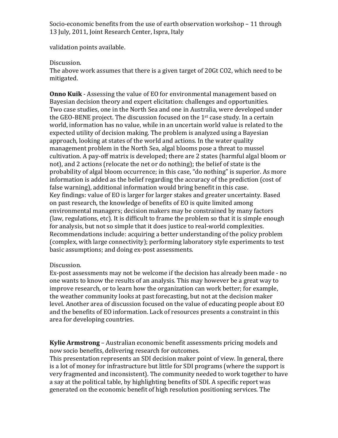validation points available.

## Discussion.

The above work assumes that there is a given target of 20Gt CO2, which need to be mitigated.

**Onno Kuik** - Assessing the value of EO for environmental management based on Bayesian decision theory and expert elicitation: challenges and opportunities. Two case studies, one in the North Sea and one in Australia, were developed under the GEO-BENE project. The discussion focused on the  $1<sup>st</sup>$  case study. In a certain world, information has no value, while in an uncertain world value is related to the expected utility of decision making. The problem is analyzed using a Bayesian approach, looking at states of the world and actions. In the water quality management problem in the North Sea, algal blooms pose a threat to mussel cultivation. A pay-off matrix is developed; there are 2 states (harmful algal bloom or not), and 2 actions (relocate the net or do nothing); the belief of state is the probability of algal bloom occurrence; in this case, "do nothing" is superior. As more information is added as the belief regarding the accuracy of the prediction (cost of false warning), additional information would bring benefit in this case. Key findings: value of EO is larger for larger stakes and greater uncertainty. Based on past research, the knowledge of benefits of EO is quite limited among environmental managers; decision makers may be constrained by many factors (law, regulations, etc). It is difficult to frame the problem so that it is simple enough for analysis, but not so simple that it does justice to real-world complexities. Recommendations include: acquiring a better understanding of the policy problem (complex, with large connectivity); performing laboratory style experiments to test basic assumptions; and doing ex-post assessments.

## Discussion.

Ex-post assessments may not be welcome if the decision has already been made - no one wants to know the results of an analysis. This may however be a great way to improve research, or to learn how the organization can work better; for example, the weather community looks at past forecasting, but not at the decision maker level. Another area of discussion focused on the value of educating people about EO and the benefits of EO information. Lack of resources presents a constraint in this area for developing countries.

**Kylie Armstrong** – Australian economic benefit assessments pricing models and now socio benefits, delivering research for outcomes.

This presentation represents an SDI decision maker point of view. In general, there is a lot of money for infrastructure but little for SDI programs (where the support is very fragmented and inconsistent). The community needed to work together to have a say at the political table, by highlighting benefits of SDI. A specific report was generated on the economic benefit of high resolution positioning services. The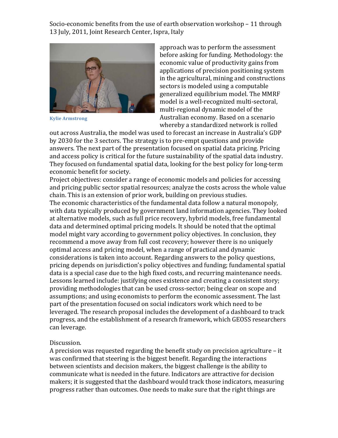

**Kylie Armstrong** 

approach was to perform the assessment before asking for funding. Methodology: the economic value of productivity gains from applications of precision positioning system in the agricultural, mining and constructions sectors is modeled using a computable generalized equilibrium model. The MMRF model is a well-recognized multi-sectoral, multi-regional dynamic model of the Australian economy. Based on a scenario whereby a standardized network is rolled

out across Australia, the model was used to forecast an increase in Australia's GDP by 2030 for the 3 sectors. The strategy is to pre-empt questions and provide answers. The next part of the presentation focused on spatial data pricing. Pricing and access policy is critical for the future sustainability of the spatial data industry. They focused on fundamental spatial data, looking for the best policy for long-term economic benefit for society.

Project objectives: consider a range of economic models and policies for accessing and pricing public sector spatial resources; analyze the costs across the whole value chain. This is an extension of prior work, building on previous studies.

The economic characteristics of the fundamental data follow a natural monopoly, with data typically produced by government land information agencies. They looked at alternative models, such as full price recovery, hybrid models, free fundamental data and determined optimal pricing models. It should be noted that the optimal model might vary according to government policy objectives. In conclusion, they recommend a move away from full cost recovery; however there is no uniquely optimal access and pricing model, when a range of practical and dynamic considerations is taken into account. Regarding answers to the policy questions, pricing depends on jurisdiction's policy objectives and funding; fundamental spatial data is a special case due to the high fixed costs, and recurring maintenance needs. Lessons learned include: justifying ones existence and creating a consistent story; providing methodologies that can be used cross-sector; being clear on scope and assumptions; and using economists to perform the economic assessment. The last part of the presentation focused on social indicators work which need to be leveraged. The research proposal includes the development of a dashboard to track progress, and the establishment of a research framework, which GEOSS researchers can leverage.

#### Discussion.

A precision was requested regarding the benefit study on precision agriculture – it was confirmed that steering is the biggest benefit. Regarding the interactions between scientists and decision makers, the biggest challenge is the ability to communicate what is needed in the future. Indicators are attractive for decision makers; it is suggested that the dashboard would track those indicators, measuring progress rather than outcomes. One needs to make sure that the right things are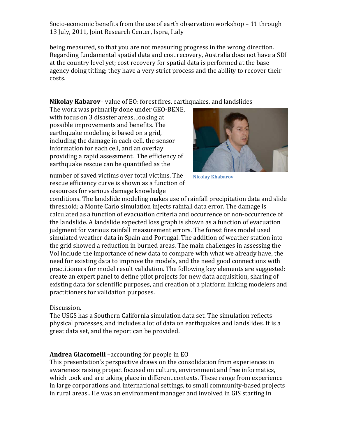being measured, so that you are not measuring progress in the wrong direction. Regarding fundamental spatial data and cost recovery, Australia does not have a SDI at the country level yet; cost recovery for spatial data is performed at the base agency doing titling; they have a very strict process and the ability to recover their costs.

## **Nikolay Kabarov**– value of EO: forest fires, earthquakes, and landslides

The work was primarily done under GEO-BENE, with focus on 3 disaster areas, looking at possible improvements and benefits. The earthquake modeling is based on a grid. including the damage in each cell, the sensor information for each cell, and an overlay providing a rapid assessment. The efficiency of earthquake rescue can be quantified as the



**Nicolay Khabarov** 

number of saved victims over total victims. The rescue efficiency curve is shown as a function of resources for various damage knowledge

conditions. The landslide modeling makes use of rainfall precipitation data and slide threshold; a Monte Carlo simulation injects rainfall data error. The damage is calculated as a function of evacuation criteria and occurrence or non-occurrence of the landslide. A landslide expected loss graph is shown as a function of evacuation judgment for various rainfall measurement errors. The forest fires model used simulated weather data in Spain and Portugal. The addition of weather station into the grid showed a reduction in burned areas. The main challenges in assessing the VoI include the importance of new data to compare with what we already have, the need for existing data to improve the models, and the need good connections with practitioners for model result validation. The following key elements are suggested: create an expert panel to define pilot projects for new data acquisition, sharing of existing data for scientific purposes, and creation of a platform linking modelers and practitioners for validation purposes.

## Discussion.

The USGS has a Southern California simulation data set. The simulation reflects physical processes, and includes a lot of data on earthquakes and landslides. It is a great data set, and the report can be provided.

## Andrea Giacomelli –accounting for people in EO

This presentation's perspective draws on the consolidation from experiences in awareness raising project focused on culture, environment and free informatics, which took and are taking place in different contexts. These range from experience in large corporations and international settings, to small community-based projects in rural areas.. He was an environment manager and involved in GIS starting in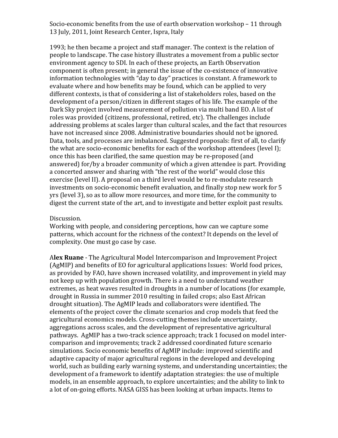1993; he then became a project and staff manager. The context is the relation of people to landscape. The case history illustrates a movement from a public sector environment agency to SDI. In each of these projects, an Earth Observation component is often present; in general the issue of the co-existence of innovative information technologies with "day to day" practices is constant. A framework to evaluate where and how benefits may be found, which can be applied to very different contexts, is that of considering a list of stakeholders roles, based on the development of a person/citizen in different stages of his life. The example of the Dark Sky project involved measurement of pollution via multi band EO. A list of roles was provided (citizens, professional, retired, etc). The challenges include addressing problems at scales larger than cultural scales, and the fact that resources have not increased since 2008. Administrative boundaries should not be ignored. Data, tools, and processes are imbalanced. Suggested proposals: first of all, to clarify the what are socio-economic benefits for each of the workshop attendees (level I); once this has been clarified, the same question may be re-proposed (and) answered) for/by a broader community of which a given attendee is part. Providing a concerted answer and sharing with "the rest of the world" would close this exercise (level II). A proposal on a third level would be to re-modulate research investments on socio-economic benefit evaluation, and finally stop new work for 5 yrs (level 3), so as to allow more resources, and more time, for the community to digest the current state of the art, and to investigate and better exploit past results.

## Discussion.

Working with people, and considering perceptions, how can we capture some patterns, which account for the richness of the context? It depends on the level of complexity. One must go case by case.

Alex Ruane - The Agricultural Model Intercomparison and Improvement Project (AgMIP) and benefits of EO for agricultural applications Issues: World food prices, as provided by FAO, have shown increased volatility, and improvement in vield may not keep up with population growth. There is a need to understand weather extremes, as heat waves resulted in droughts in a number of locations (for example, drought in Russia in summer 2010 resulting in failed crops; also East African drought situation). The AgMIP leads and collaborators were identified. The elements of the project cover the climate scenarios and crop models that feed the agricultural economics models. Cross-cutting themes include uncertainty, aggregations across scales, and the development of representative agricultural pathways.) AgMIP has a two-track science approach; track 1 focused on model intercomparison and improvements; track 2 addressed coordinated future scenario simulations. Socio economic benefits of AgMIP include: improved scientific and adaptive capacity of major agricultural regions in the developed and developing world, such as building early warning systems, and understanding uncertainties; the development of a framework to identify adaptation strategies: the use of multiple models, in an ensemble approach, to explore uncertainties; and the ability to link to a lot of on-going efforts. NASA GISS has been looking at urban impacts. Items to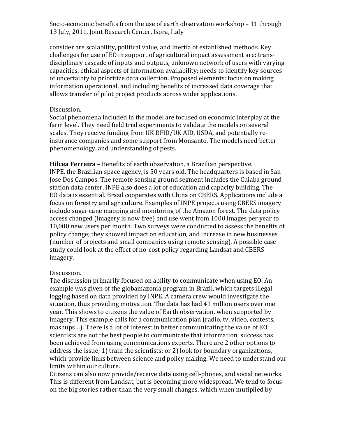consider are scalability, political value, and inertia of established methods. Key challenges for use of EO in support of agricultural impact assessment are: transdisciplinary cascade of inputs and outputs, unknown network of users with varying capacities, ethical aspects of information availability; needs to identify key sources of uncertainty to prioritize data collection. Proposed elements: focus on making information operational, and including benefits of increased data coverage that allows transfer of pilot project products across wider applications.

## Discussion.

Social phenomena included in the model are focused on economic interplay at the farm level. They need field trial experiments to validate the models on several scales. They receive funding from UK DFID/UK AID, USDA, and potentially reinsurance companies and some support from Monsanto. The models need better phenomenology, and understanding of pests.

**Hilcea Ferreira** – Benefits of earth observation, a Brazilian perspective. INPE, the Brazilian space agency, is 50 years old. The headquarters is based in San Jose Dos Campos. The remote sensing ground segment includes the Cuiaba ground station data center. INPE also does a lot of education and capacity building. The EO data is essential. Brazil cooperates with China on CBERS. Applications include a focus on forestry and agriculture. Examples of INPE projects using CBERS imagery include sugar cane mapping and monitoring of the Amazon forest. The data policy access changed (imagery is now free) and use went from 1000 images per year to 10,000 new users per month. Two surveys were conducted to assess the benefits of policy change; they showed impact on education, and increase in new businesses (number of projects and small companies using remote sensing). A possible case study could look at the effect of no-cost policy regarding Landsat and CBERS imagery.

# Discussion.

The discussion primarily focused on ability to communicate when using EO. An example was given of the globamazonia program in Brazil, which targets illegal logging based on data provided by INPE. A camera crew would investigate the situation, thus providing motivation. The data has had 41 million users over one year. This shows to citizens the value of Earth observation, when supported by imagery. This example calls for a communication plan (radio, tv, video, contests, mashups...). There is a lot of interest in better communicating the value of EO; scientists are not the best people to communicate that information; success has been achieved from using communications experts. There are 2 other options to address the issue; 1) train the scientists; or 2) look for boundary organizations, which provide links between science and policy making. We need to understand our limits within our culture.

Citizens can also now provide/receive data using cell-phones, and social networks. This is different from Landsat, but is becoming more widespread. We tend to focus on the big stories rather than the very small changes, which when mutiplied by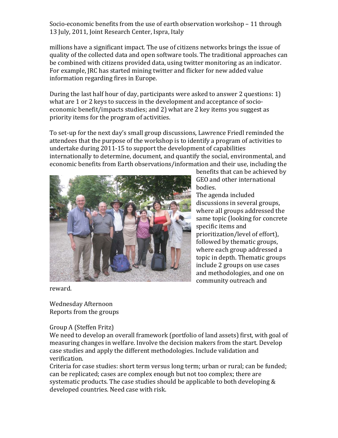millions have a significant impact. The use of citizens networks brings the issue of quality of the collected data and open software tools. The traditional approaches can be combined with citizens provided data, using twitter monitoring as an indicator. For example, JRC has started mining twitter and flicker for new added value information regarding fires in Europe.

During the last half hour of day, participants were asked to answer 2 questions: 1) what are 1 or 2 keys to success in the development and acceptance of socioeconomic benefit/impacts studies; and 2) what are 2 key items you suggest as priority items for the program of activities.

To set-up for the next day's small group discussions, Lawrence Friedl reminded the attendees that the purpose of the workshop is to identify a program of activities to undertake during 2011-15 to support the development of capabilities internationally to determine, document, and quantify the social, environmental, and economic benefits from Earth observations/information and their use, including the



benefits that can be achieved by GEO and other international bodies.

The agenda included discussions in several groups, where all groups addressed the same topic (looking for concrete) specific items and prioritization/level of effort), followed by thematic groups, where each group addressed a topic in depth. Thematic groups include 2 groups on use cases and methodologies, and one on community outreach and

reward.

Wednesday Afternoon Reports from the groups

# Group A (Steffen Fritz)

We need to develop an overall framework (portfolio of land assets) first, with goal of measuring changes in welfare. Involve the decision makers from the start. Develop case studies and apply the different methodologies. Include validation and verification.

Criteria for case studies: short term versus long term; urban or rural; can be funded; can be replicated; cases are complex enough but not too complex; there are systematic products. The case studies should be applicable to both developing  $&$ developed countries. Need case with risk.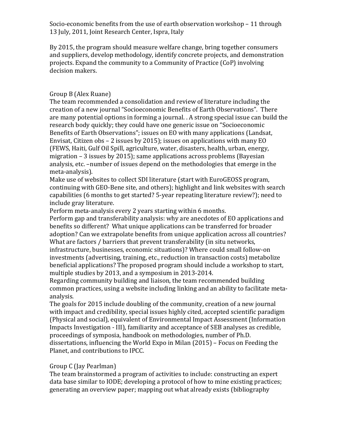By 2015, the program should measure welfare change, bring together consumers and suppliers, develop methodology, identify concrete projects, and demonstration projects. Expand the community to a Community of Practice (CoP) involving decision makers.

# Group B (Alex Ruane)

The team recommended a consolidation and review of literature including the creation of a new journal "Socioeconomic Benefits of Earth Observations". There are many potential options in forming a journal. . A strong special issue can build the research body quickly; they could have one generic issue on "Socioeconomic Benefits of Earth Observations"; issues on EO with many applications (Landsat, Envisat, Citizen obs – 2 issues by 2015); issues on applications with many EO (FEWS, Haiti, Gulf Oil Spill, agriculture, water, disasters, health, urban, energy, migration – 3 issues by 2015); same applications across problems (Bayesian) analysis, etc. –number of issues depend on the methodologies that emerge in the meta-analysis).

Make use of websites to collect SDI literature (start with EuroGEOSS program, continuing with GEO-Bene site, and others); highlight and link websites with search capabilities (6 months to get started? 5-year repeating literature review?); need to include gray literature.

Perform meta-analysis every 2 years starting within 6 months.

Perform gap and transferability analysis: why are anecdotes of EO applications and benefits so different? What unique applications can be transferred for broader adoption? Can we extrapolate benefits from unique application across all countries? What are factors / barriers that prevent transferability (in situ networks, infrastructure, businesses, economic situations)? Where could small follow-on

investments (advertising, training, etc., reduction in transaction costs) metabolize beneficial applications? The proposed program should include a workshop to start, multiple studies by 2013, and a symposium in 2013-2014.

Regarding community building and liaison, the team recommended building common practices, using a website including linking and an ability to facilitate metaanalysis.

The goals for 2015 include doubling of the community, creation of a new journal with impact and credibility, special issues highly cited, accepted scientific paradigm (Physical and social), equivalent of Environmental Impact Assessment (Information) Impacts Investigation - III), familiarity and acceptance of SEB analyses as credible, proceedings of symposia, handbook on methodologies, number of Ph.D. dissertations, influencing the World Expo in Milan  $(2015)$  – Focus on Feeding the Planet, and contributions to IPCC.

# Group C (Jay Pearlman)

The team brainstormed a program of activities to include: constructing an expert data base similar to IODE; developing a protocol of how to mine existing practices; generating an overview paper; mapping out what already exists (bibliography)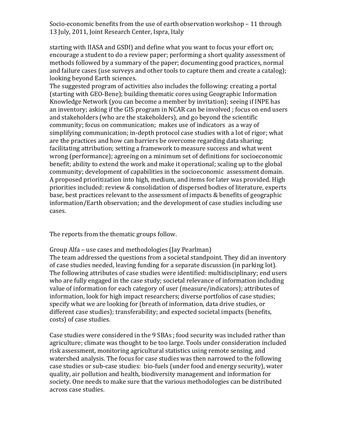starting with IIASA and GSDI) and define what you want to focus your effort on; encourage a student to do a review paper; performing a short quality assessment of methods followed by a summary of the paper; documenting good practices, normal and failure cases (use surveys and other tools to capture them and create a catalog); looking beyond Earth sciences.

The suggested program of activities also includes the following: creating a portal (starting with GEO-Bene); building thematic cores using Geographic Information Knowledge Network (you can become a member by invitation); seeing if INPE has an inventory; asking if the GIS program in NCAR can be involved; focus on end users and stakeholders (who are the stakeholders), and go beyond the scientific community; focus on communication; makes use of indicators as a way of simplifying communication; in-depth protocol case studies with a lot of rigor; what are the practices and how can barriers be overcome regarding data sharing; facilitating attribution; setting a framework to measure success and what went wrong (performance); agreeing on a minimum set of definitions for socioeconomic benefit; ability to extend the work and make it operational; scaling up to the global community; development of capabilities in the socioeconomic assessment domain. A proposed prioritization into high, medium, and items for later was provided. High priorities included: review & consolidation of dispersed bodies of literature, experts base, best practices relevant to the assessment of impacts & benefits of geographic information/Earth observation; and the development of case studies including use cases.

The reports from the thematic groups follow.

Group Alfa – use cases and methodologies (Jay Pearlman)

The team addressed the questions from a societal standpoint. They did an inventory of case studies needed, leaving funding for a separate discussion (in parking lot). The following attributes of case studies were identified: multidisciplinary; end users who are fully engaged in the case study; societal relevance of information including value of information for each category of user (measure/indicators); attributes of information, look for high impact researchers; diverse portfolios of case studies; specify what we are looking for (breath of information, data drive studies, or different case studies); transferability; and expected societal impacts (benefits, costs) of case studies.

Case studies were considered in the 9 SBAs; food security was included rather than agriculture; climate was thought to be too large. Tools under consideration included risk assessment, monitoring agricultural statistics using remote sensing, and watershed analysis. The focus for case studies was then narrowed to the following case studies or sub-case studies: bio-fuels (under food and energy security), water quality, air pollution and health, biodiversity management and information for society. One needs to make sure that the various methodologies can be distributed across case studies.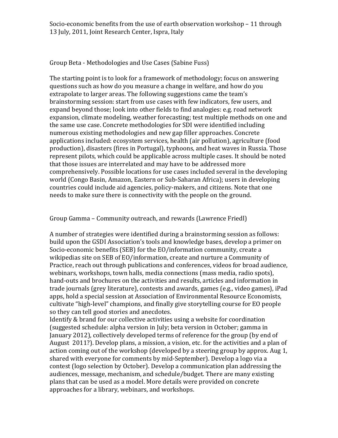Group Beta - Methodologies and Use Cases (Sabine Fuss)

The starting point is to look for a framework of methodology; focus on answering questions such as how do you measure a change in welfare, and how do you extrapolate to larger areas. The following suggestions came the team's brainstorming session: start from use cases with few indicators, few users, and expand beyond those; look into other fields to find analogies: e.g. road network expansion, climate modeling, weather forecasting; test multiple methods on one and the same use case. Concrete methodologies for SDI were identified including numerous existing methodologies and new gap filler approaches. Concrete applications included: ecosystem services, health (air pollution), agriculture (food production), disasters (fires in Portugal), typhoons, and heat waves in Russia. Those represent pilots, which could be applicable across multiple cases. It should be noted that those issues are interrelated and may have to be addressed more comprehensively. Possible locations for use cases included several in the developing world (Congo Basin, Amazon, Eastern or Sub-Saharan Africa); users in developing countries could include aid agencies, policy-makers, and citizens. Note that one needs to make sure there is connectivity with the people on the ground.

Group Gamma – Community outreach, and rewards (Lawrence Friedl)

A number of strategies were identified during a brainstorming session as follows: build upon the GSDI Association's tools and knowledge bases, develop a primer on Socio-economic benefits (SEB) for the EO/information community, create a wikipedias site on SEB of EO/information, create and nurture a Community of Practice, reach out through publications and conferences, videos for broad audience, webinars, workshops, town halls, media connections (mass media, radio spots), hand-outs and brochures on the activities and results, articles and information in trade journals (grey literature), contests and awards, games (e.g., video games), iPad apps, hold a special session at Association of Environmental Resource Economists, cultivate "high-level" champions, and finally give storytelling course for EO people so they can tell good stories and anecdotes.

Identify & brand for our collective activities using a website for coordination (suggested schedule: alpha version in July; beta version in October; gamma in January 2012), collectively developed terms of reference for the group (by end of August) 2011?). Develop plans, a mission, a vision, etc. for the activities and a plan of action coming out of the workshop (developed by a steering group by approx. Aug 1, shared with everyone for comments by mid-September). Develop a logo via a contest (logo selection by October). Develop a communication plan addressing the audiences, message, mechanism, and schedule/budget. There are many existing plans that can be used as a model. More details were provided on concrete approaches for a library, webinars, and workshops.